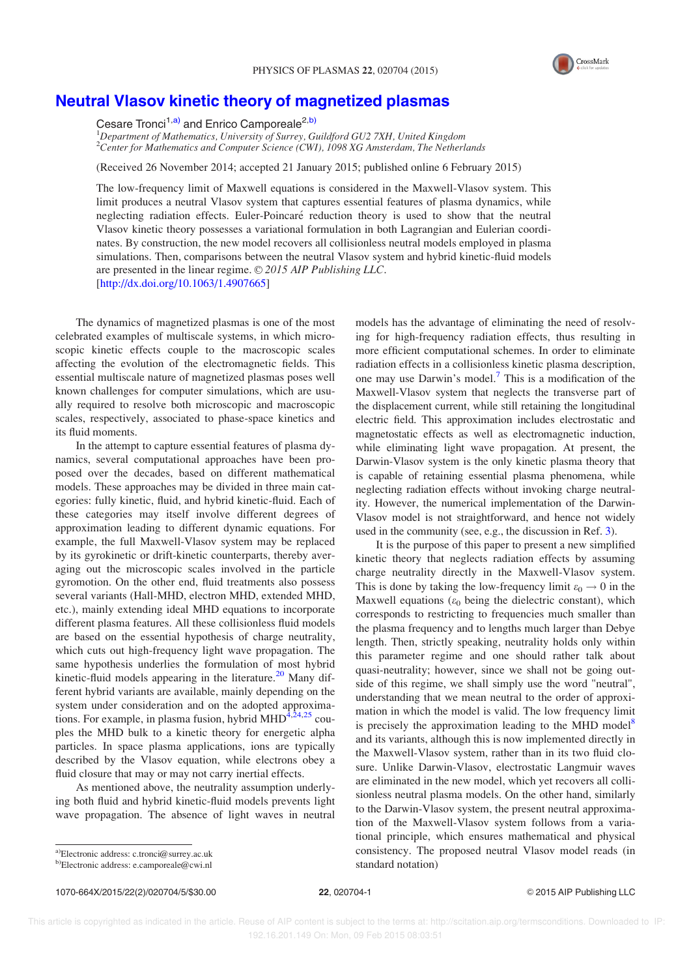

## Neutral Vlasov kinetic theory of magnetized plasmas

Cesare Tronci<sup>1,a)</sup> and Enrico Camporeale<sup>2,b)</sup>

<sup>1</sup>Department of Mathematics, University of Surrey, Guildford GU2 7XH, United Kingdom <sup>2</sup>Center for Mathematics and Computer Science (CWI), 1098 XG Amsterdam, The Netherlands

(Received 26 November 2014; accepted 21 January 2015; published online 6 February 2015)

The low-frequency limit of Maxwell equations is considered in the Maxwell-Vlasov system. This limit produces a neutral Vlasov system that captures essential features of plasma dynamics, while neglecting radiation effects. Euler-Poincaré reduction theory is used to show that the neutral Vlasov kinetic theory possesses a variational formulation in both Lagrangian and Eulerian coordinates. By construction, the new model recovers all collisionless neutral models employed in plasma simulations. Then, comparisons between the neutral Vlasov system and hybrid kinetic-fluid models are presented in the linear regime.  $\odot$  2015 AIP Publishing LLC. [http://dx.doi.org/10.1063/1.4907665]

The dynamics of magnetized plasmas is one of the most celebrated examples of multiscale systems, in which microscopic kinetic effects couple to the macroscopic scales affecting the evolution of the electromagnetic fields. This essential multiscale nature of magnetized plasmas poses well known challenges for computer simulations, which are usually required to resolve both microscopic and macroscopic scales, respectively, associated to phase-space kinetics and its fluid moments.

In the attempt to capture essential features of plasma dynamics, several computational approaches have been proposed over the decades, based on different mathematical models. These approaches may be divided in three main categories: fully kinetic, fluid, and hybrid kinetic-fluid. Each of these categories may itself involve different degrees of approximation leading to different dynamic equations. For example, the full Maxwell-Vlasov system may be replaced by its gyrokinetic or drift-kinetic counterparts, thereby averaging out the microscopic scales involved in the particle gyromotion. On the other end, fluid treatments also possess several variants (Hall-MHD, electron MHD, extended MHD, etc.), mainly extending ideal MHD equations to incorporate different plasma features. All these collisionless fluid models are based on the essential hypothesis of charge neutrality, which cuts out high-frequency light wave propagation. The same hypothesis underlies the formulation of most hybrid kinetic-fluid models appearing in the literature.<sup>20</sup> Many different hybrid variants are available, mainly depending on the system under consideration and on the adopted approximations. For example, in plasma fusion, hybrid  $MHD^{4,24,25}$  couples the MHD bulk to a kinetic theory for energetic alpha particles. In space plasma applications, ions are typically described by the Vlasov equation, while electrons obey a fluid closure that may or may not carry inertial effects.

As mentioned above, the neutrality assumption underlying both fluid and hybrid kinetic-fluid models prevents light wave propagation. The absence of light waves in neutral

a)Electronic address: c.tronci@surrey.ac.uk

b)Electronic address: e.camporeale@cwi.nl

1070-664X/2015/22(2)/020704/5/\$30.00 22, 020704-1 22, 020704-1 22, 020704-1 22, 020704-1 22, 020704-1 22, 020704-1

models has the advantage of eliminating the need of resolving for high-frequency radiation effects, thus resulting in more efficient computational schemes. In order to eliminate radiation effects in a collisionless kinetic plasma description, one may use Darwin's model.<sup>7</sup> This is a modification of the Maxwell-Vlasov system that neglects the transverse part of the displacement current, while still retaining the longitudinal electric field. This approximation includes electrostatic and magnetostatic effects as well as electromagnetic induction, while eliminating light wave propagation. At present, the Darwin-Vlasov system is the only kinetic plasma theory that is capable of retaining essential plasma phenomena, while neglecting radiation effects without invoking charge neutrality. However, the numerical implementation of the Darwin-Vlasov model is not straightforward, and hence not widely used in the community (see, e.g., the discussion in Ref. 3).

It is the purpose of this paper to present a new simplified kinetic theory that neglects radiation effects by assuming charge neutrality directly in the Maxwell-Vlasov system. This is done by taking the low-frequency limit  $\varepsilon_0 \to 0$  in the Maxwell equations ( $\varepsilon_0$  being the dielectric constant), which corresponds to restricting to frequencies much smaller than the plasma frequency and to lengths much larger than Debye length. Then, strictly speaking, neutrality holds only within this parameter regime and one should rather talk about quasi-neutrality; however, since we shall not be going outside of this regime, we shall simply use the word "neutral", understanding that we mean neutral to the order of approximation in which the model is valid. The low frequency limit is precisely the approximation leading to the MHD model<sup>8</sup> and its variants, although this is now implemented directly in the Maxwell-Vlasov system, rather than in its two fluid closure. Unlike Darwin-Vlasov, electrostatic Langmuir waves are eliminated in the new model, which yet recovers all collisionless neutral plasma models. On the other hand, similarly to the Darwin-Vlasov system, the present neutral approximation of the Maxwell-Vlasov system follows from a variational principle, which ensures mathematical and physical consistency. The proposed neutral Vlasov model reads (in standard notation)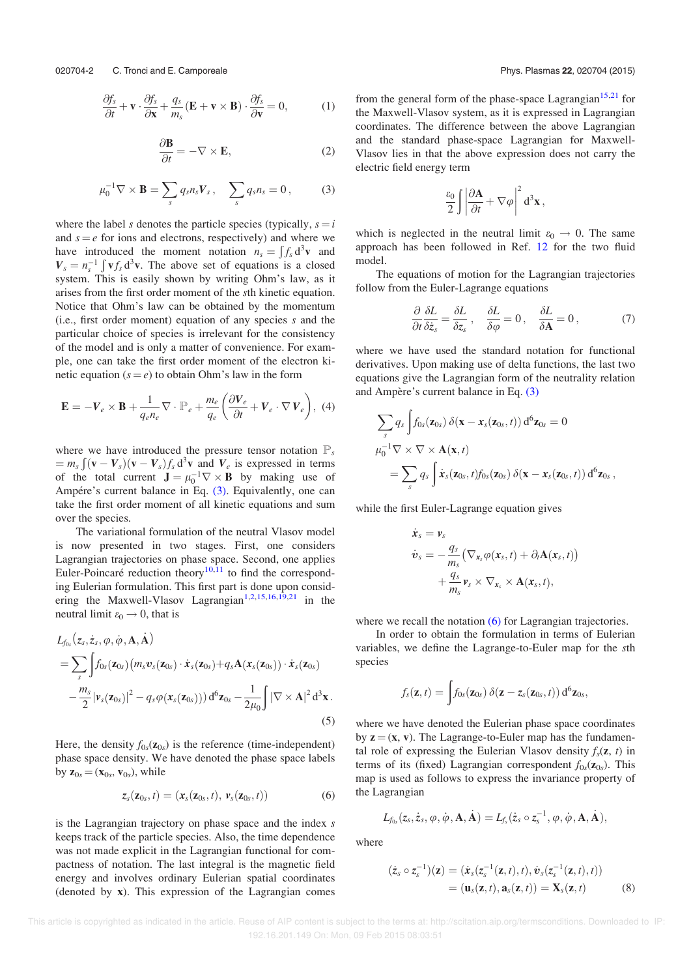020704-2 C. Tronci and E. Camporeale **Phys. Plasmas 22, 020704 (2015)** Phys. Plasmas 22, 020704 (2015)

$$
\frac{\partial f_s}{\partial t} + \mathbf{v} \cdot \frac{\partial f_s}{\partial \mathbf{x}} + \frac{q_s}{m_s} (\mathbf{E} + \mathbf{v} \times \mathbf{B}) \cdot \frac{\partial f_s}{\partial \mathbf{v}} = 0, \quad (1)
$$

$$
\frac{\partial \mathbf{B}}{\partial t} = -\nabla \times \mathbf{E},\tag{2}
$$

$$
\mu_0^{-1} \nabla \times \mathbf{B} = \sum_s q_s n_s \mathbf{V}_s, \quad \sum_s q_s n_s = 0, \quad (3)
$$

where the label s denotes the particle species (typically,  $s = i$ and  $s = e$  for ions and electrons, respectively) and where we have introduced the moment notation  $n_s = \int f_s d^3 \mathbf{v}$  and  $V_s = n_s^{-1} \int v f_s d^3 v$ . The above set of equations is a closed system. This is easily shown by writing Ohm's law, as it arises from the first order moment of the sth kinetic equation. Notice that Ohm's law can be obtained by the momentum (i.e., first order moment) equation of any species s and the particular choice of species is irrelevant for the consistency of the model and is only a matter of convenience. For example, one can take the first order moment of the electron kinetic equation ( $s = e$ ) to obtain Ohm's law in the form

$$
\mathbf{E} = -\mathbf{V}_e \times \mathbf{B} + \frac{1}{q_e n_e} \nabla \cdot \mathbb{P}_e + \frac{m_e}{q_e} \left( \frac{\partial \mathbf{V}_e}{\partial t} + \mathbf{V}_e \cdot \nabla \mathbf{V}_e \right), \tag{4}
$$

where we have introduced the pressure tensor notation  $\mathbb{P}_s$  $= m_s \int (v - V_s)(v - V_s) f_s d^3v$  and  $V_e$  is expressed in terms of the total current  $\mathbf{J} = \mu_0^{-1} \nabla \times \mathbf{B}$  by making use of Ampére's current balance in Eq. (3). Equivalently, one can take the first order moment of all kinetic equations and sum over the species.

The variational formulation of the neutral Vlasov model is now presented in two stages. First, one considers Lagrangian trajectories on phase space. Second, one applies Euler-Poincaré reduction theory<sup>10,11</sup> to find the corresponding Eulerian formulation. This first part is done upon considering the Maxwell-Vlasov Lagrangian<sup>1,2,15,16,19,21</sup> in the neutral limit  $\varepsilon_0 \rightarrow 0$ , that is

$$
L_{f_{0s}}(z_{s}, \dot{z}_{s}, \varphi, \dot{\varphi}, \mathbf{A}, \dot{\mathbf{A}})
$$
\n
$$
= \sum_{s} \int f_{0s}(\mathbf{z}_{0s}) (m_{s} \mathbf{v}_{s}(\mathbf{z}_{0s}) \cdot \dot{\mathbf{x}}_{s}(\mathbf{z}_{0s}) + q_{s} \mathbf{A}(\mathbf{x}_{s}(\mathbf{z}_{0s})) \cdot \dot{\mathbf{x}}_{s}(\mathbf{z}_{0s}) - \frac{m_{s}}{2} |\mathbf{v}_{s}(\mathbf{z}_{0s})|^{2} - q_{s} \varphi(\mathbf{x}_{s}(\mathbf{z}_{0s}))) \, d^{6} \mathbf{z}_{0s} - \frac{1}{2\mu_{0}} \int |\nabla \times \mathbf{A}|^{2} \, d^{3} \mathbf{x}.
$$
\n(5)

Here, the density  $f_{0s}(\mathbf{z}_{0s})$  is the reference (time-independent) phase space density. We have denoted the phase space labels by  $z_{0s} = (x_{0s}, v_{0s})$ , while

$$
z_s(\mathbf{z}_{0s},t)=(\mathbf{x}_s(\mathbf{z}_{0s},t),\,\mathbf{v}_s(\mathbf{z}_{0s},t))
$$
 (6)

is the Lagrangian trajectory on phase space and the index s keeps track of the particle species. Also, the time dependence was not made explicit in the Lagrangian functional for compactness of notation. The last integral is the magnetic field energy and involves ordinary Eulerian spatial coordinates (denoted by x). This expression of the Lagrangian comes

from the general form of the phase-space Lagrangian<sup>15,21</sup> for the Maxwell-Vlasov system, as it is expressed in Lagrangian coordinates. The difference between the above Lagrangian and the standard phase-space Lagrangian for Maxwell-Vlasov lies in that the above expression does not carry the electric field energy term

$$
\frac{\varepsilon_0}{2}\int \left|\frac{\partial \mathbf{A}}{\partial t} + \nabla \varphi\right|^2 d^3\mathbf{x},
$$

which is neglected in the neutral limit  $\varepsilon_0 \rightarrow 0$ . The same approach has been followed in Ref. 12 for the two fluid model.

The equations of motion for the Lagrangian trajectories follow from the Euler-Lagrange equations

$$
\frac{\partial}{\partial t} \frac{\partial L}{\partial \dot{z}_s} = \frac{\partial L}{\partial z_s} , \quad \frac{\partial L}{\partial \varphi} = 0 , \quad \frac{\partial L}{\partial \mathbf{A}} = 0 , \tag{7}
$$

where we have used the standard notation for functional derivatives. Upon making use of delta functions, the last two equations give the Lagrangian form of the neutrality relation and Ampère's current balance in Eq.  $(3)$ 

$$
\sum_{s} q_s \int f_{0s}(\mathbf{z}_{0s}) \, \delta(\mathbf{x} - \mathbf{x}_s(\mathbf{z}_{0s}, t)) \, d^6 \mathbf{z}_{0s} = 0
$$
\n
$$
\mu_0^{-1} \nabla \times \nabla \times \mathbf{A}(\mathbf{x}, t)
$$
\n
$$
= \sum_{s} q_s \int \dot{\mathbf{x}}_s(\mathbf{z}_{0s}, t) f_{0s}(\mathbf{z}_{0s}) \, \delta(\mathbf{x} - \mathbf{x}_s(\mathbf{z}_{0s}, t)) \, d^6 \mathbf{z}_{0s} \, ,
$$

while the first Euler-Lagrange equation gives

$$
\dot{\mathbf{x}}_s = \mathbf{v}_s
$$
\n
$$
\dot{\mathbf{v}}_s = -\frac{q_s}{m_s} \left( \nabla_{\mathbf{x}_s} \varphi(\mathbf{x}_s, t) + \partial_t \mathbf{A}(\mathbf{x}_s, t) \right)
$$
\n
$$
+ \frac{q_s}{m_s} \mathbf{v}_s \times \nabla_{\mathbf{x}_s} \times \mathbf{A}(\mathbf{x}_s, t),
$$

where we recall the notation (6) for Lagrangian trajectories.

In order to obtain the formulation in terms of Eulerian variables, we define the Lagrange-to-Euler map for the sth species

$$
f_s(\mathbf{z},t) = \int f_{0s}(\mathbf{z}_{0s}) \, \delta(\mathbf{z} - z_s(\mathbf{z}_{0s},t)) \, \mathrm{d}^6 \mathbf{z}_{0s},
$$

where we have denoted the Eulerian phase space coordinates by  $z = (x, v)$ . The Lagrange-to-Euler map has the fundamental role of expressing the Eulerian Vlasov density  $f_s(z, t)$  in terms of its (fixed) Lagrangian correspondent  $f_{0s}(\mathbf{z}_{0s})$ . This map is used as follows to express the invariance property of the Lagrangian

$$
L_{f_{0s}}(\zeta_s,\dot{z}_s,\phi,\dot{\phi},\mathbf{A},\dot{\mathbf{A}})=L_{f_s}(\dot{z}_s\circ z_s^{-1},\phi,\dot{\phi},\mathbf{A},\dot{\mathbf{A}}),
$$

where

$$
(\dot{\mathbf{z}}_s \circ \mathbf{z}_s^{-1})(\mathbf{z}) = (\dot{\mathbf{x}}_s(\mathbf{z}_s^{-1}(\mathbf{z},t),t), \dot{\mathbf{v}}_s(\mathbf{z}_s^{-1}(\mathbf{z},t),t)) = (\mathbf{u}_s(\mathbf{z},t), \mathbf{a}_s(\mathbf{z},t)) = \mathbf{X}_s(\mathbf{z},t)
$$
(8)

 This article is copyrighted as indicated in the article. Reuse of AIP content is subject to the terms at: http://scitation.aip.org/termsconditions. Downloaded to IP: 192.16.201.149 On: Mon, 09 Feb 2015 08:03:51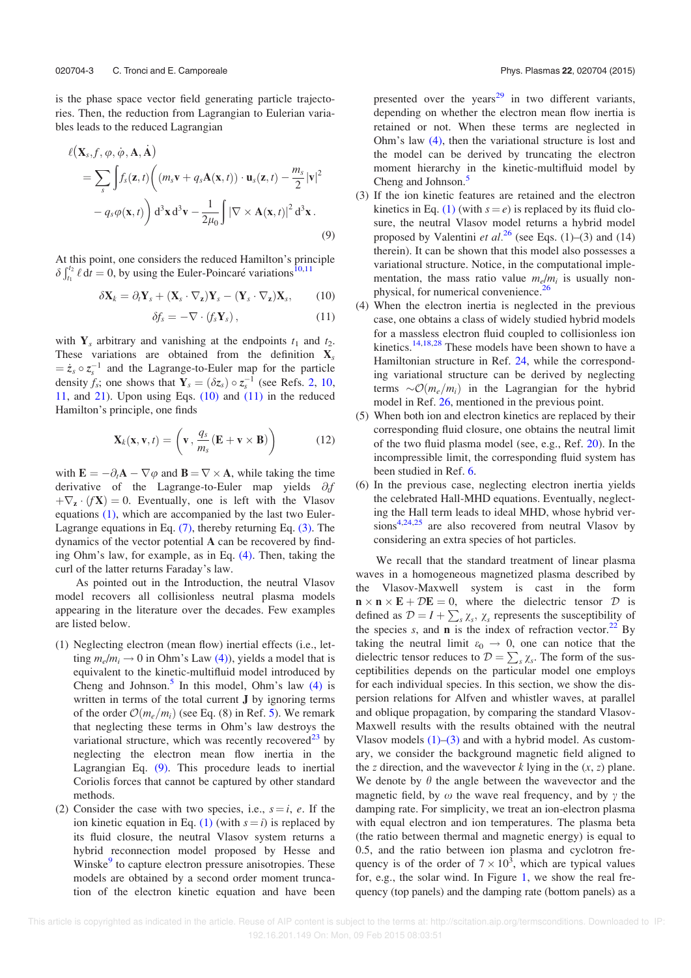is the phase space vector field generating particle trajectories. Then, the reduction from Lagrangian to Eulerian variables leads to the reduced Lagrangian

$$
\ell(\mathbf{X}_s, f, \varphi, \dot{\varphi}, \mathbf{A}, \dot{\mathbf{A}})
$$
\n
$$
= \sum_{s} \int f_s(\mathbf{z}, t) \left( (m_s \mathbf{v} + q_s \mathbf{A}(\mathbf{x}, t)) \cdot \mathbf{u}_s(\mathbf{z}, t) - \frac{m_s}{2} |\mathbf{v}|^2 - q_s \varphi(\mathbf{x}, t) \right) d^3 \mathbf{x} d^3 \mathbf{v} - \frac{1}{2\mu_0} \int |\nabla \times \mathbf{A}(\mathbf{x}, t)|^2 d^3 \mathbf{x}.
$$
\n(9)

At this point, one considers the reduced Hamilton's principle  $\delta \int_{t_1}^{t_2} \ell \, dt = 0$ , by using the Euler-Poincaré variations  $\frac{10,11}{t_1}$ 

$$
\delta \mathbf{X}_k = \partial_t \mathbf{Y}_s + (\mathbf{X}_s \cdot \nabla_{\mathbf{z}}) \mathbf{Y}_s - (\mathbf{Y}_s \cdot \nabla_{\mathbf{z}}) \mathbf{X}_s, \qquad (10)
$$

$$
\delta f_s = -\nabla \cdot (f_s \mathbf{Y}_s) \,, \tag{11}
$$

with  $Y_s$  arbitrary and vanishing at the endpoints  $t_1$  and  $t_2$ . These variations are obtained from the definition  $X_s$  $= \dot{z}_s \circ z_s^{-1}$  and the Lagrange-to-Euler map for the particle density  $f_s$ ; one shows that  $\mathbf{Y}_s = (\delta z_s) \circ z_s^{-1}$  (see Refs. 2, 10, 11, and 21). Upon using Eqs.  $(10)$  and  $(11)$  in the reduced Hamilton's principle, one finds

$$
\mathbf{X}_{k}(\mathbf{x}, \mathbf{v}, t) = \left(\mathbf{v}, \frac{q_{s}}{m_{s}} (\mathbf{E} + \mathbf{v} \times \mathbf{B})\right)
$$
(12)

with  $\mathbf{E} = -\partial_t \mathbf{A} - \nabla \varphi$  and  $\mathbf{B} = \nabla \times \mathbf{A}$ , while taking the time derivative of the Lagrange-to-Euler map yields  $\partial_t f$  $+\nabla_z \cdot (f\mathbf{X}) = 0$ . Eventually, one is left with the Vlasov equations (1), which are accompanied by the last two Euler-Lagrange equations in Eq.  $(7)$ , thereby returning Eq.  $(3)$ . The dynamics of the vector potential A can be recovered by finding Ohm's law, for example, as in Eq. (4). Then, taking the curl of the latter returns Faraday's law.

As pointed out in the Introduction, the neutral Vlasov model recovers all collisionless neutral plasma models appearing in the literature over the decades. Few examples are listed below.

- (1) Neglecting electron (mean flow) inertial effects (i.e., letting  $m_e/m_i \rightarrow 0$  in Ohm's Law (4)), yields a model that is equivalent to the kinetic-multifluid model introduced by Cheng and Johnson.<sup>5</sup> In this model, Ohm's law  $(4)$  is written in terms of the total current **J** by ignoring terms of the order  $\mathcal{O}(m_e/m_i)$  (see Eq. (8) in Ref. 5). We remark that neglecting these terms in Ohm's law destroys the variational structure, which was recently recovered<sup>23</sup> by neglecting the electron mean flow inertia in the Lagrangian Eq. (9). This procedure leads to inertial Coriolis forces that cannot be captured by other standard methods.
- (2) Consider the case with two species, i.e.,  $s = i$ , e. If the ion kinetic equation in Eq. (1) (with  $s = i$ ) is replaced by its fluid closure, the neutral Vlasov system returns a hybrid reconnection model proposed by Hesse and Winske<sup>9</sup> to capture electron pressure anisotropies. These models are obtained by a second order moment truncation of the electron kinetic equation and have been

presented over the years<sup>29</sup> in two different variants, depending on whether the electron mean flow inertia is retained or not. When these terms are neglected in Ohm's law (4), then the variational structure is lost and the model can be derived by truncating the electron moment hierarchy in the kinetic-multifluid model by Cheng and Johnson.<sup>5</sup>

- (3) If the ion kinetic features are retained and the electron kinetics in Eq. (1) (with  $s = e$ ) is replaced by its fluid closure, the neutral Vlasov model returns a hybrid model proposed by Valentini et al.<sup>26</sup> (see Eqs. (1)–(3) and (14) therein). It can be shown that this model also possesses a variational structure. Notice, in the computational implementation, the mass ratio value  $m_e/m_i$  is usually nonphysical, for numerical convenience.<sup>26</sup>
- (4) When the electron inertia is neglected in the previous case, one obtains a class of widely studied hybrid models for a massless electron fluid coupled to collisionless ion kinetics.<sup>14,18,28</sup> These models have been shown to have a Hamiltonian structure in Ref. 24, while the corresponding variational structure can be derived by neglecting terms  $\sim \mathcal{O}(m_e/m_i)$  in the Lagrangian for the hybrid model in Ref. 26, mentioned in the previous point.
- (5) When both ion and electron kinetics are replaced by their corresponding fluid closure, one obtains the neutral limit of the two fluid plasma model (see, e.g., Ref. 20). In the incompressible limit, the corresponding fluid system has been studied in Ref. 6.
- (6) In the previous case, neglecting electron inertia yields the celebrated Hall-MHD equations. Eventually, neglecting the Hall term leads to ideal MHD, whose hybrid versions<sup>4,24,25</sup> are also recovered from neutral Vlasov by considering an extra species of hot particles.

We recall that the standard treatment of linear plasma waves in a homogeneous magnetized plasma described by the Vlasov-Maxwell system is cast in the form  $\mathbf{n} \times \mathbf{n} \times \mathbf{E} + \mathcal{D}\mathbf{E} = 0$ , where the dielectric tensor  $\mathcal{D}$  is defined as  $\mathcal{D} = I + \sum_{s} \chi_s$ ,  $\chi_s$  represents the susceptibility of the species s, and  $\overline{n}$  is the index of refraction vector.<sup>22</sup> By taking the neutral limit  $\varepsilon_0 \rightarrow 0$ , one can notice that the dielectric tensor reduces to  $\mathcal{D} = \sum_{s} \chi_s$ . The form of the susceptibilities depends on the particular model one employs for each individual species. In this section, we show the dispersion relations for Alfven and whistler waves, at parallel and oblique propagation, by comparing the standard Vlasov-Maxwell results with the results obtained with the neutral Vlasov models  $(1)$ – $(3)$  and with a hybrid model. As customary, we consider the background magnetic field aligned to the z direction, and the wavevector  $k$  lying in the  $(x, z)$  plane. We denote by  $\theta$  the angle between the wavevector and the magnetic field, by  $\omega$  the wave real frequency, and by  $\gamma$  the damping rate. For simplicity, we treat an ion-electron plasma with equal electron and ion temperatures. The plasma beta (the ratio between thermal and magnetic energy) is equal to 0.5, and the ratio between ion plasma and cyclotron frequency is of the order of  $7 \times 10^3$ , which are typical values for, e.g., the solar wind. In Figure 1, we show the real frequency (top panels) and the damping rate (bottom panels) as a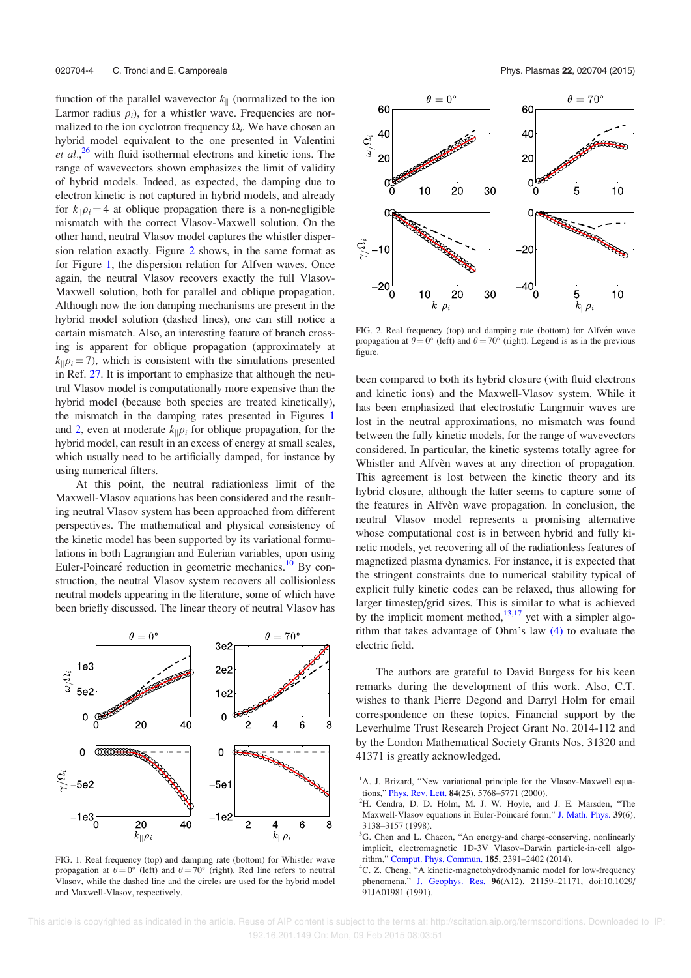function of the parallel wavevector  $k_{\parallel}$  (normalized to the ion Larmor radius  $\rho_i$ ), for a whistler wave. Frequencies are normalized to the ion cyclotron frequency  $\Omega_i$ . We have chosen an hybrid model equivalent to the one presented in Valentini et  $al$ ,<sup>26</sup> with fluid isothermal electrons and kinetic ions. The range of wavevectors shown emphasizes the limit of validity of hybrid models. Indeed, as expected, the damping due to electron kinetic is not captured in hybrid models, and already for  $k_{\parallel} \rho_i = 4$  at oblique propagation there is a non-negligible mismatch with the correct Vlasov-Maxwell solution. On the other hand, neutral Vlasov model captures the whistler dispersion relation exactly. Figure 2 shows, in the same format as for Figure 1, the dispersion relation for Alfven waves. Once again, the neutral Vlasov recovers exactly the full Vlasov-Maxwell solution, both for parallel and oblique propagation. Although now the ion damping mechanisms are present in the hybrid model solution (dashed lines), one can still notice a certain mismatch. Also, an interesting feature of branch crossing is apparent for oblique propagation (approximately at  $k_{\parallel}$  $\rho_i$  = 7), which is consistent with the simulations presented in Ref. 27. It is important to emphasize that although the neutral Vlasov model is computationally more expensive than the hybrid model (because both species are treated kinetically), the mismatch in the damping rates presented in Figures 1 and 2, even at moderate  $k_{\parallel} \rho_i$  for oblique propagation, for the hybrid model, can result in an excess of energy at small scales, which usually need to be artificially damped, for instance by using numerical filters.

At this point, the neutral radiationless limit of the Maxwell-Vlasov equations has been considered and the resulting neutral Vlasov system has been approached from different perspectives. The mathematical and physical consistency of the kinetic model has been supported by its variational formulations in both Lagrangian and Eulerian variables, upon using Euler-Poincaré reduction in geometric mechanics.<sup>10</sup> By construction, the neutral Vlasov system recovers all collisionless neutral models appearing in the literature, some of which have been briefly discussed. The linear theory of neutral Vlasov has



FIG. 1. Real frequency (top) and damping rate (bottom) for Whistler wave propagation at  $\theta = 0^{\circ}$  (left) and  $\theta = 70^{\circ}$  (right). Red line refers to neutral Vlasov, while the dashed line and the circles are used for the hybrid model and Maxwell-Vlasov, respectively.



FIG. 2. Real frequency (top) and damping rate (bottom) for Alfvén wave propagation at  $\theta = 0^{\circ}$  (left) and  $\theta = 70^{\circ}$  (right). Legend is as in the previous figure.

been compared to both its hybrid closure (with fluid electrons and kinetic ions) and the Maxwell-Vlasov system. While it has been emphasized that electrostatic Langmuir waves are lost in the neutral approximations, no mismatch was found between the fully kinetic models, for the range of wavevectors considered. In particular, the kinetic systems totally agree for Whistler and Alfvèn waves at any direction of propagation. This agreement is lost between the kinetic theory and its hybrid closure, although the latter seems to capture some of the features in Alfven wave propagation. In conclusion, the neutral Vlasov model represents a promising alternative whose computational cost is in between hybrid and fully kinetic models, yet recovering all of the radiationless features of magnetized plasma dynamics. For instance, it is expected that the stringent constraints due to numerical stability typical of explicit fully kinetic codes can be relaxed, thus allowing for larger timestep/grid sizes. This is similar to what is achieved by the implicit moment method, $13,17$  yet with a simpler algorithm that takes advantage of Ohm's law (4) to evaluate the electric field.

The authors are grateful to David Burgess for his keen remarks during the development of this work. Also, C.T. wishes to thank Pierre Degond and Darryl Holm for email correspondence on these topics. Financial support by the Leverhulme Trust Research Project Grant No. 2014-112 and by the London Mathematical Society Grants Nos. 31320 and 41371 is greatly acknowledged.

 This article is copyrighted as indicated in the article. Reuse of AIP content is subject to the terms at: http://scitation.aip.org/termsconditions. Downloaded to IP: 192.16.201.149 On: Mon, 09 Feb 2015 08:03:51

<sup>&</sup>lt;sup>1</sup>A. J. Brizard, "New variational principle for the Vlasov-Maxwell equations," Phys. Rev. Lett. 84(25),  $\overline{5768} - \overline{5771}$  (2000).

<sup>&</sup>lt;sup>2</sup>H. Cendra, D. D. Holm, M. J. W. Hoyle, and J. E. Marsden, "The Maxwell-Vlasov equations in Euler-Poincaré form," J. Math. Phys. 39(6), 3138–3157 (1998).

<sup>&</sup>lt;sup>3</sup>G. Chen and L. Chacon, "An energy-and charge-conserving, nonlinearly implicit, electromagnetic 1D-3V Vlasov–Darwin particle-in-cell algorithm," Comput. Phys. Commun. <sup>185</sup>, 2391–2402 (2014). <sup>4</sup>

<sup>&</sup>lt;sup>4</sup>C. Z. Cheng, "A kinetic-magnetohydrodynamic model for low-frequency phenomena," J. Geophys. Res. 96(A12), 21159–21171, doi:10.1029/ 91JA01981 (1991).